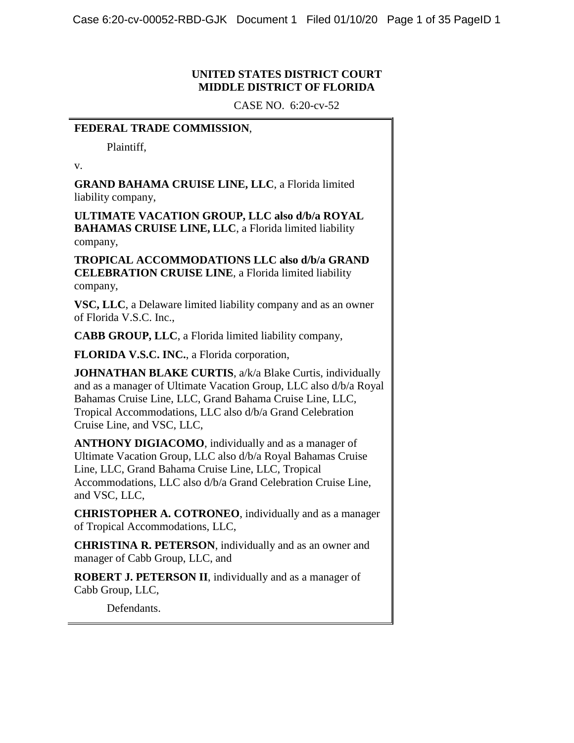# **UNITED STATES DISTRICT COURT MIDDLE DISTRICT OF FLORIDA**

CASE NO. 6:20-cv-52

# **FEDERAL TRADE COMMISSION**,

Plaintiff,

v.

**GRAND BAHAMA CRUISE LINE, LLC**, a Florida limited liability company,

**ULTIMATE VACATION GROUP, LLC also d/b/a ROYAL BAHAMAS CRUISE LINE, LLC**, a Florida limited liability company,

 **TROPICAL ACCOMMODATIONS LLC also d/b/a GRAND CELEBRATION CRUISE LINE**, a Florida limited liability company,

**VSC, LLC**, a Delaware limited liability company and as an owner of Florida V.S.C. Inc.,

**CABB GROUP, LLC**, a Florida limited liability company,

**FLORIDA V.S.C. INC.**, a Florida corporation,

 and as a manager of Ultimate Vacation Group, LLC also d/b/a Royal **JOHNATHAN BLAKE CURTIS, a/k/a Blake Curtis, individually** Bahamas Cruise Line, LLC, Grand Bahama Cruise Line, LLC, Tropical Accommodations, LLC also d/b/a Grand Celebration Cruise Line, and VSC, LLC,

 **ANTHONY DIGIACOMO**, individually and as a manager of Ultimate Vacation Group, LLC also d/b/a Royal Bahamas Cruise Line, LLC, Grand Bahama Cruise Line, LLC, Tropical Accommodations, LLC also d/b/a Grand Celebration Cruise Line, and VSC, LLC,

 of Tropical Accommodations, LLC, **CHRISTOPHER A. COTRONEO**, individually and as a manager

 **CHRISTINA R. PETERSON**, individually and as an owner and manager of Cabb Group, LLC, and

 **ROBERT J. PETERSON II**, individually and as a manager of Cabb Group, LLC, Defendants.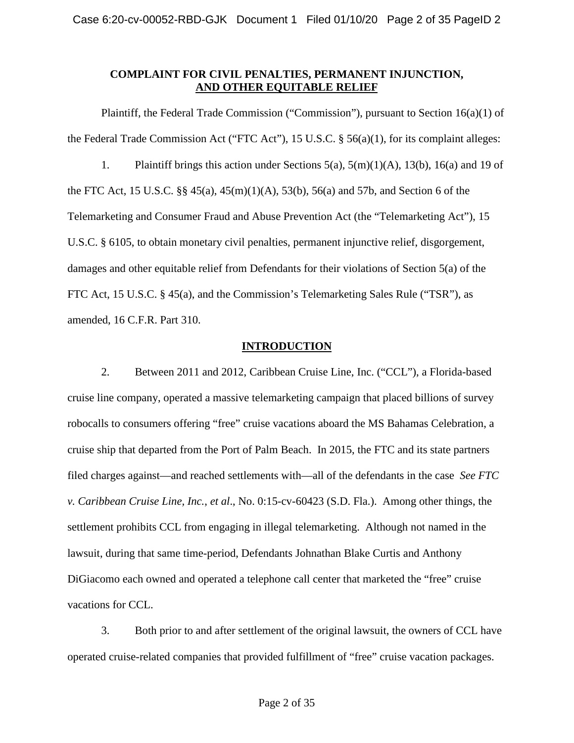# **COMPLAINT FOR CIVIL PENALTIES, PERMANENT INJUNCTION, AND OTHER EQUITABLE RELIEF**

 1. Plaintiff brings this action under Sections 5(a), 5(m)(1)(A), 13(b), 16(a) and 19 of Telemarketing and Consumer Fraud and Abuse Prevention Act (the "Telemarketing Act"), 15 damages and other equitable relief from Defendants for their violations of Section 5(a) of the amended, 16 C.F.R. Part 310. Plaintiff, the Federal Trade Commission ("Commission"), pursuant to Section 16(a)(1) of the Federal Trade Commission Act ("FTC Act"), 15 U.S.C. § 56(a)(1), for its complaint alleges: the FTC Act, 15 U.S.C. §§ 45(a), 45(m)(1)(A), 53(b), 56(a) and 57b, and Section 6 of the U.S.C. § 6105, to obtain monetary civil penalties, permanent injunctive relief, disgorgement, FTC Act, 15 U.S.C. § 45(a), and the Commission's Telemarketing Sales Rule ("TSR"), as

# **INTRODUCTION**

 cruise line company, operated a massive telemarketing campaign that placed billions of survey robocalls to consumers offering "free" cruise vacations aboard the MS Bahamas Celebration, a cruise ship that departed from the Port of Palm Beach. In 2015, the FTC and its state partners filed charges against—and reached settlements with—all of the defendants in the case *See FTC*  settlement prohibits CCL from engaging in illegal telemarketing. Although not named in the vacations for CCL. 2. Between 2011 and 2012, Caribbean Cruise Line, Inc. ("CCL"), a Florida-based *v. Caribbean Cruise Line, Inc.*, *et al*., No. 0:15-cv-60423 (S.D. Fla.). Among other things, the lawsuit, during that same time-period, Defendants Johnathan Blake Curtis and Anthony DiGiacomo each owned and operated a telephone call center that marketed the "free" cruise

3. Both prior to and after settlement of the original lawsuit, the owners of CCL have operated cruise-related companies that provided fulfillment of "free" cruise vacation packages.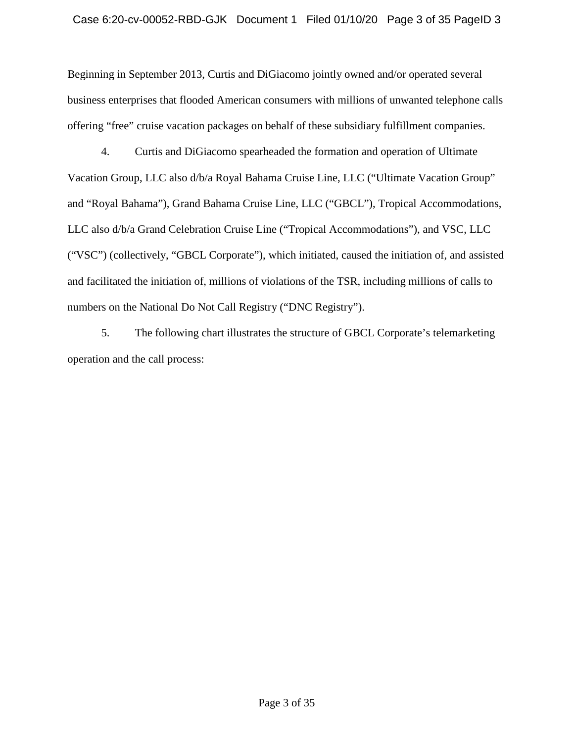Beginning in September 2013, Curtis and DiGiacomo jointly owned and/or operated several offering "free" cruise vacation packages on behalf of these subsidiary fulfillment companies. business enterprises that flooded American consumers with millions of unwanted telephone calls

 and "Royal Bahama"), Grand Bahama Cruise Line, LLC ("GBCL"), Tropical Accommodations, LLC also d/b/a Grand Celebration Cruise Line ("Tropical Accommodations"), and VSC, LLC ("VSC") (collectively, "GBCL Corporate"), which initiated, caused the initiation of, and assisted and facilitated the initiation of, millions of violations of the TSR, including millions of calls to 4. Curtis and DiGiacomo spearheaded the formation and operation of Ultimate Vacation Group, LLC also d/b/a Royal Bahama Cruise Line, LLC ("Ultimate Vacation Group" numbers on the National Do Not Call Registry ("DNC Registry").

5. The following chart illustrates the structure of GBCL Corporate's telemarketing operation and the call process: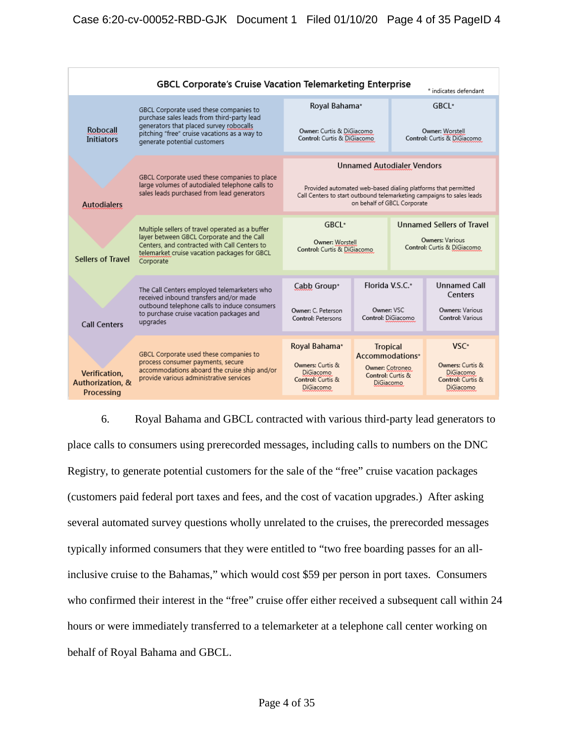| <b>GBCL Corporate's Cruise Vacation Telemarketing Enterprise</b><br>* indicates defendant |                                                                                                                                                                                                                 |                                                                                                                                                                                                            |                                                                                         |                                                                                    |                                                                              |
|-------------------------------------------------------------------------------------------|-----------------------------------------------------------------------------------------------------------------------------------------------------------------------------------------------------------------|------------------------------------------------------------------------------------------------------------------------------------------------------------------------------------------------------------|-----------------------------------------------------------------------------------------|------------------------------------------------------------------------------------|------------------------------------------------------------------------------|
| Robocall<br><b>Initiators</b>                                                             | GBCL Corporate used these companies to<br>purchase sales leads from third-party lead<br>generators that placed survey robocalls<br>pitching "free" cruise vacations as a way to<br>generate potential customers | Royal Bahama*<br>Owner: Curtis & DiGiacomo<br>Control: Curtis & DiGiacomo                                                                                                                                  |                                                                                         | GBCI *<br>Owner: Worstell<br>Control: Curtis & DiGiacomo                           |                                                                              |
| <b>Autodialers</b>                                                                        | GBCL Corporate used these companies to place<br>large volumes of autodialed telephone calls to<br>sales leads purchased from lead generators                                                                    | <b>Unnamed Autodialer Vendors</b><br>Provided automated web-based dialing platforms that permitted<br>Call Centers to start outbound telemarketing campaigns to sales leads<br>on behalf of GBCL Corporate |                                                                                         |                                                                                    |                                                                              |
| <b>Sellers of Travel</b>                                                                  | Multiple sellers of travel operated as a buffer<br>layer between GBCL Corporate and the Call<br>Centers, and contracted with Call Centers to<br>telemarket cruise vacation packages for GBCL<br>Corporate       | GBCL*<br>Owner: Worstell<br>Control: Curtis & DiGiacomo<br>Cabb Group*<br>Owner: C. Peterson<br>Control: DiGiacomo<br>Control: Petersons                                                                   |                                                                                         | <b>Unnamed Sellers of Travel</b><br>Owners: Various<br>Control: Curtis & DiGiacomo |                                                                              |
| <b>Call Centers</b>                                                                       | The Call Centers employed telemarketers who<br>received inbound transfers and/or made<br>outbound telephone calls to induce consumers<br>to purchase cruise vacation packages and<br>upgrades                   |                                                                                                                                                                                                            |                                                                                         | Florida V.S.C.*<br>Owner: VSC                                                      | <b>Unnamed Call</b><br>Centers<br><b>Owners: Various</b><br>Control: Various |
| Verification,<br>Authorization, &<br>Processing                                           | GBCL Corporate used these companies to<br>process consumer payments, secure<br>accommodations aboard the cruise ship and/or<br>provide various administrative services                                          | Royal Bahama*<br>Owners: Curtis &<br>DiGiacomo<br>Control: Curtis &<br>DiGiacomo                                                                                                                           | <b>Tropical</b><br>Accommodations*<br>Owner: Cotroneo<br>Control: Curtis &<br>DiGiacomo |                                                                                    | $VSC*$<br>Owners: Curtis &<br>DiGiacomo<br>Control: Curtis &<br>DiGiacomo    |

 6. Royal Bahama and GBCL contracted with various third-party lead generators to place calls to consumers using prerecorded messages, including calls to numbers on the DNC typically informed consumers that they were entitled to "two free boarding passes for an all- who confirmed their interest in the "free" cruise offer either received a subsequent call within 24 hours or were immediately transferred to a telemarketer at a telephone call center working on Registry, to generate potential customers for the sale of the "free" cruise vacation packages (customers paid federal port taxes and fees, and the cost of vacation upgrades.) After asking several automated survey questions wholly unrelated to the cruises, the prerecorded messages inclusive cruise to the Bahamas," which would cost \$59 per person in port taxes. Consumers behalf of Royal Bahama and GBCL.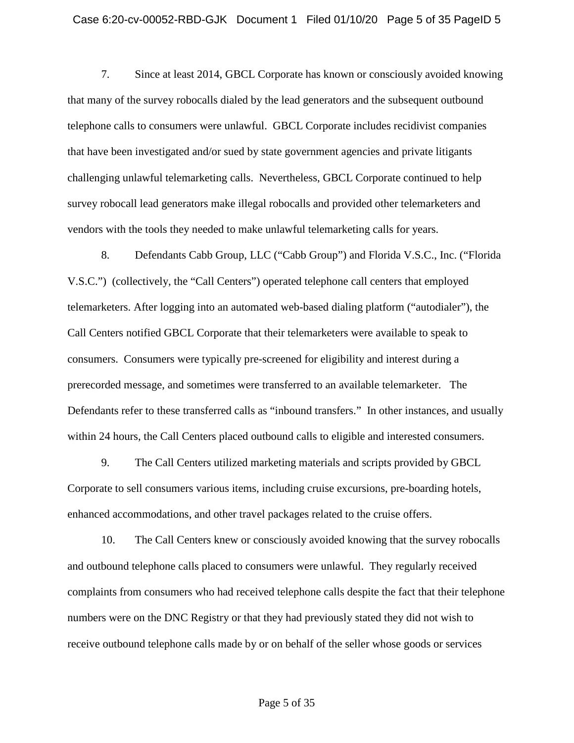that many of the survey robocalls dialed by the lead generators and the subsequent outbound telephone calls to consumers were unlawful. GBCL Corporate includes recidivist companies that have been investigated and/or sued by state government agencies and private litigants challenging unlawful telemarketing calls. Nevertheless, GBCL Corporate continued to help survey robocall lead generators make illegal robocalls and provided other telemarketers and vendors with the tools they needed to make unlawful telemarketing calls for years. 7. Since at least 2014, GBCL Corporate has known or consciously avoided knowing

 8. Defendants Cabb Group, LLC ("Cabb Group") and Florida V.S.C., Inc. ("Florida V.S.C.") (collectively, the "Call Centers") operated telephone call centers that employed Call Centers notified GBCL Corporate that their telemarketers were available to speak to consumers. Consumers were typically pre-screened for eligibility and interest during a telemarketers. After logging into an automated web-based dialing platform ("autodialer"), the prerecorded message, and sometimes were transferred to an available telemarketer. The Defendants refer to these transferred calls as "inbound transfers." In other instances, and usually within 24 hours, the Call Centers placed outbound calls to eligible and interested consumers.

 9. The Call Centers utilized marketing materials and scripts provided by GBCL enhanced accommodations, and other travel packages related to the cruise offers. Corporate to sell consumers various items, including cruise excursions, pre-boarding hotels,

 and outbound telephone calls placed to consumers were unlawful. They regularly received numbers were on the DNC Registry or that they had previously stated they did not wish to 10. The Call Centers knew or consciously avoided knowing that the survey robocalls complaints from consumers who had received telephone calls despite the fact that their telephone receive outbound telephone calls made by or on behalf of the seller whose goods or services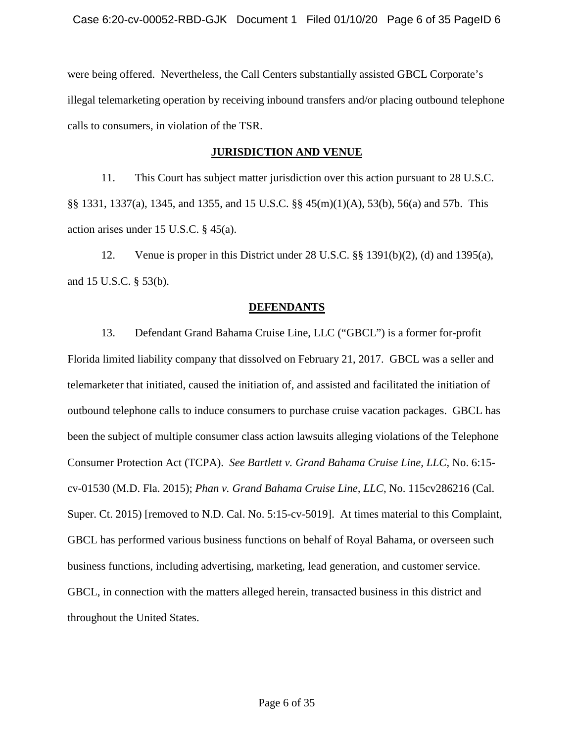were being offered. Nevertheless, the Call Centers substantially assisted GBCL Corporate's illegal telemarketing operation by receiving inbound transfers and/or placing outbound telephone calls to consumers, in violation of the TSR.

### **JURISDICTION AND VENUE**

 §§ 1331, 1337(a), 1345, and 1355, and 15 U.S.C. §§ 45(m)(1)(A), 53(b), 56(a) and 57b. This 11. This Court has subject matter jurisdiction over this action pursuant to 28 U.S.C. action arises under 15 U.S.C. § 45(a).

 12. Venue is proper in this District under 28 U.S.C. §§ 1391(b)(2), (d) and 1395(a), and 15 U.S.C. § 53(b).

### **DEFENDANTS**

 Florida limited liability company that dissolved on February 21, 2017. GBCL was a seller and outbound telephone calls to induce consumers to purchase cruise vacation packages. GBCL has GBCL has performed various business functions on behalf of Royal Bahama, or overseen such business functions, including advertising, marketing, lead generation, and customer service. 13. Defendant Grand Bahama Cruise Line, LLC ("GBCL") is a former for-profit telemarketer that initiated, caused the initiation of, and assisted and facilitated the initiation of been the subject of multiple consumer class action lawsuits alleging violations of the Telephone Consumer Protection Act (TCPA). *See Bartlett v. Grand Bahama Cruise Line, LLC,* No. 6:15 cv-01530 (M.D. Fla. 2015); *Phan v. Grand Bahama Cruise Line, LLC*, No. 115cv286216 (Cal. Super. Ct. 2015) [removed to N.D. Cal. No. 5:15-cv-5019]. At times material to this Complaint, GBCL, in connection with the matters alleged herein, transacted business in this district and throughout the United States.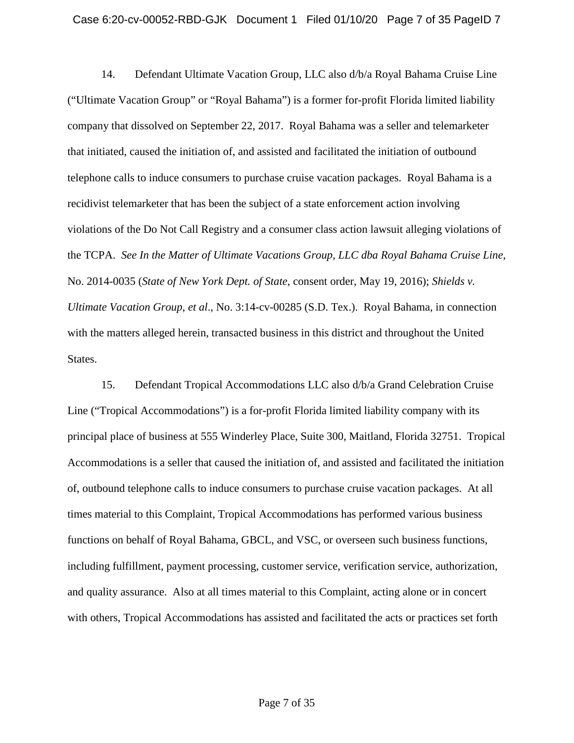company that dissolved on September 22, 2017. Royal Bahama was a seller and telemarketer telephone calls to induce consumers to purchase cruise vacation packages. Royal Bahama is a violations of the Do Not Call Registry and a consumer class action lawsuit alleging violations of the TCPA. *See In the Matter of Ultimate Vacations Group, LLC dba Royal Bahama Cruise Line*,  No. 2014-0035 (*State of New York Dept. of State,* consent order, May 19, 2016); *Shields v. Ultimate Vacation Group*, *et al*., No. 3:14-cv-00285 (S.D. Tex.). Royal Bahama, in connection 14. Defendant Ultimate Vacation Group, LLC also d/b/a Royal Bahama Cruise Line ("Ultimate Vacation Group" or "Royal Bahama") is a former for-profit Florida limited liability that initiated, caused the initiation of, and assisted and facilitated the initiation of outbound recidivist telemarketer that has been the subject of a state enforcement action involving with the matters alleged herein, transacted business in this district and throughout the United States.

 15. Defendant Tropical Accommodations LLC also d/b/a Grand Celebration Cruise of, outbound telephone calls to induce consumers to purchase cruise vacation packages. At all with others, Tropical Accommodations has assisted and facilitated the acts or practices set forth Line ("Tropical Accommodations") is a for-profit Florida limited liability company with its principal place of business at 555 Winderley Place, Suite 300, Maitland, Florida 32751. Tropical Accommodations is a seller that caused the initiation of, and assisted and facilitated the initiation times material to this Complaint, Tropical Accommodations has performed various business functions on behalf of Royal Bahama, GBCL, and VSC, or overseen such business functions, including fulfillment, payment processing, customer service, verification service, authorization, and quality assurance. Also at all times material to this Complaint, acting alone or in concert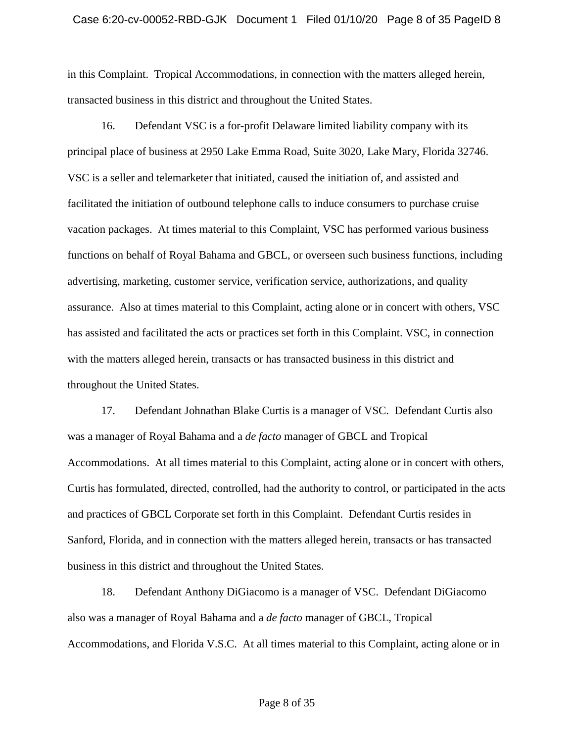in this Complaint. Tropical Accommodations, in connection with the matters alleged herein, transacted business in this district and throughout the United States.

 VSC is a seller and telemarketer that initiated, caused the initiation of, and assisted and facilitated the initiation of outbound telephone calls to induce consumers to purchase cruise vacation packages. At times material to this Complaint, VSC has performed various business functions on behalf of Royal Bahama and GBCL, or overseen such business functions, including 16. Defendant VSC is a for-profit Delaware limited liability company with its principal place of business at 2950 Lake Emma Road, Suite 3020, Lake Mary, Florida 32746. advertising, marketing, customer service, verification service, authorizations, and quality assurance. Also at times material to this Complaint, acting alone or in concert with others, VSC has assisted and facilitated the acts or practices set forth in this Complaint. VSC, in connection with the matters alleged herein, transacts or has transacted business in this district and throughout the United States.

 and practices of GBCL Corporate set forth in this Complaint. Defendant Curtis resides in 17. Defendant Johnathan Blake Curtis is a manager of VSC. Defendant Curtis also was a manager of Royal Bahama and a *de facto* manager of GBCL and Tropical Accommodations. At all times material to this Complaint, acting alone or in concert with others, Curtis has formulated, directed, controlled, had the authority to control, or participated in the acts Sanford, Florida, and in connection with the matters alleged herein, transacts or has transacted business in this district and throughout the United States.

 also was a manager of Royal Bahama and a *de facto* manager of GBCL, Tropical Accommodations, and Florida V.S.C. At all times material to this Complaint, acting alone or in 18. Defendant Anthony DiGiacomo is a manager of VSC. Defendant DiGiacomo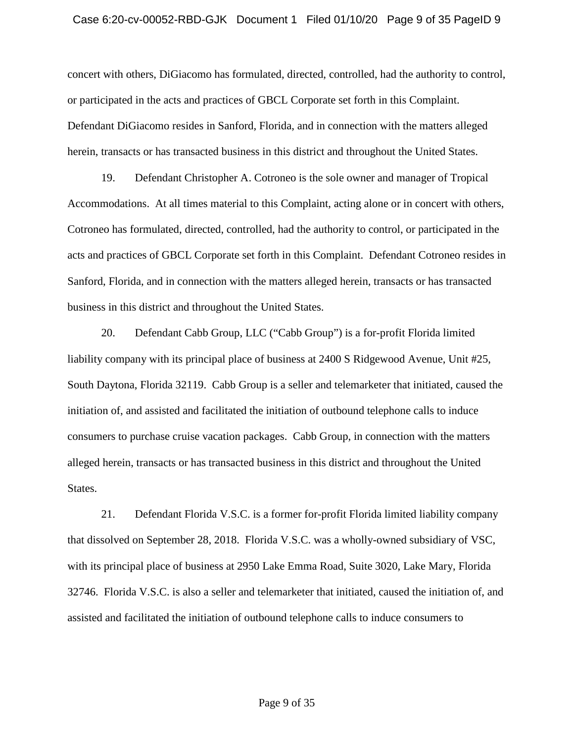#### Case 6:20-cv-00052-RBD-GJK Document 1 Filed 01/10/20 Page 9 of 35 PageID 9

concert with others, DiGiacomo has formulated, directed, controlled, had the authority to control, or participated in the acts and practices of GBCL Corporate set forth in this Complaint. Defendant DiGiacomo resides in Sanford, Florida, and in connection with the matters alleged herein, transacts or has transacted business in this district and throughout the United States.

 acts and practices of GBCL Corporate set forth in this Complaint. Defendant Cotroneo resides in 19. Defendant Christopher A. Cotroneo is the sole owner and manager of Tropical Accommodations. At all times material to this Complaint, acting alone or in concert with others, Cotroneo has formulated, directed, controlled, had the authority to control, or participated in the Sanford, Florida, and in connection with the matters alleged herein, transacts or has transacted business in this district and throughout the United States.

 liability company with its principal place of business at 2400 S Ridgewood Avenue, Unit #25, South Daytona, Florida 32119. Cabb Group is a seller and telemarketer that initiated, caused the consumers to purchase cruise vacation packages. Cabb Group, in connection with the matters 20. Defendant Cabb Group, LLC ("Cabb Group") is a for-profit Florida limited initiation of, and assisted and facilitated the initiation of outbound telephone calls to induce alleged herein, transacts or has transacted business in this district and throughout the United States.

 21. Defendant Florida V.S.C. is a former for-profit Florida limited liability company with its principal place of business at 2950 Lake Emma Road, Suite 3020, Lake Mary, Florida 32746. Florida V.S.C. is also a seller and telemarketer that initiated, caused the initiation of, and that dissolved on September 28, 2018. Florida V.S.C. was a wholly-owned subsidiary of VSC, assisted and facilitated the initiation of outbound telephone calls to induce consumers to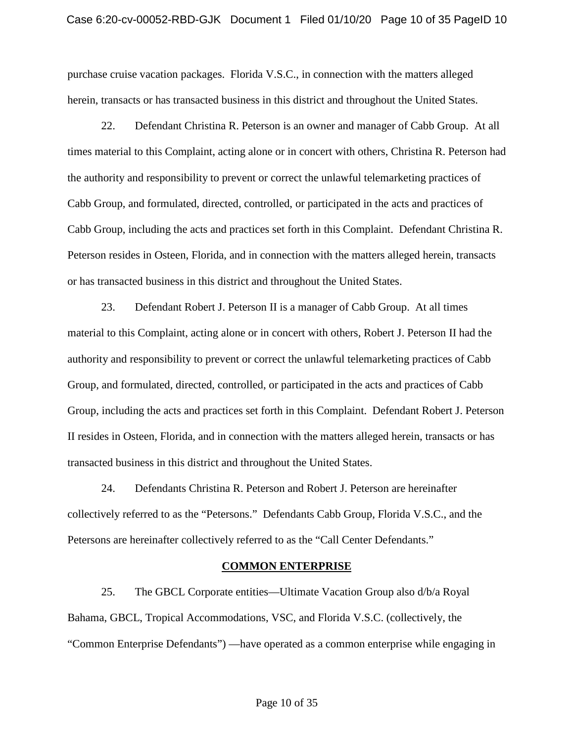purchase cruise vacation packages. Florida V.S.C., in connection with the matters alleged herein, transacts or has transacted business in this district and throughout the United States.

22. Defendant Christina R. Peterson is an owner and manager of Cabb Group. At all times material to this Complaint, acting alone or in concert with others, Christina R. Peterson had the authority and responsibility to prevent or correct the unlawful telemarketing practices of Cabb Group, and formulated, directed, controlled, or participated in the acts and practices of Cabb Group, including the acts and practices set forth in this Complaint. Defendant Christina R. Peterson resides in Osteen, Florida, and in connection with the matters alleged herein, transacts or has transacted business in this district and throughout the United States.

transacted business in this district and throughout the United States. 23. Defendant Robert J. Peterson II is a manager of Cabb Group. At all times material to this Complaint, acting alone or in concert with others, Robert J. Peterson II had the authority and responsibility to prevent or correct the unlawful telemarketing practices of Cabb Group, and formulated, directed, controlled, or participated in the acts and practices of Cabb Group, including the acts and practices set forth in this Complaint. Defendant Robert J. Peterson II resides in Osteen, Florida, and in connection with the matters alleged herein, transacts or has

 collectively referred to as the "Petersons." Defendants Cabb Group, Florida V.S.C., and the Petersons are hereinafter collectively referred to as the "Call Center Defendants." 24. Defendants Christina R. Peterson and Robert J. Peterson are hereinafter

### **COMMON ENTERPRISE**

25. The GBCL Corporate entities—Ultimate Vacation Group also d/b/a Royal Bahama, GBCL, Tropical Accommodations, VSC, and Florida V.S.C. (collectively, the "Common Enterprise Defendants") —have operated as a common enterprise while engaging in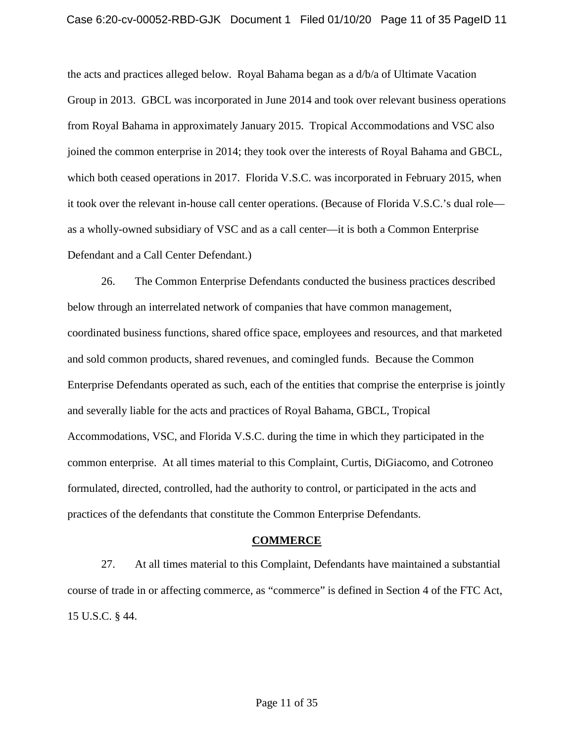the acts and practices alleged below. Royal Bahama began as a d/b/a of Ultimate Vacation Group in 2013. GBCL was incorporated in June 2014 and took over relevant business operations from Royal Bahama in approximately January 2015. Tropical Accommodations and VSC also which both ceased operations in 2017. Florida V.S.C. was incorporated in February 2015, when it took over the relevant in-house call center operations. (Because of Florida V.S.C.'s dual role joined the common enterprise in 2014; they took over the interests of Royal Bahama and GBCL, as a wholly-owned subsidiary of VSC and as a call center—it is both a Common Enterprise Defendant and a Call Center Defendant.)

 26. The Common Enterprise Defendants conducted the business practices described below through an interrelated network of companies that have common management, and sold common products, shared revenues, and comingled funds. Because the Common common enterprise. At all times material to this Complaint, Curtis, DiGiacomo, and Cotroneo coordinated business functions, shared office space, employees and resources, and that marketed Enterprise Defendants operated as such, each of the entities that comprise the enterprise is jointly and severally liable for the acts and practices of Royal Bahama, GBCL, Tropical Accommodations, VSC, and Florida V.S.C. during the time in which they participated in the formulated, directed, controlled, had the authority to control, or participated in the acts and practices of the defendants that constitute the Common Enterprise Defendants.

#### **COMMERCE**

27. At all times material to this Complaint, Defendants have maintained a substantial course of trade in or affecting commerce, as "commerce" is defined in Section 4 of the FTC Act, 15 U.S.C. § 44.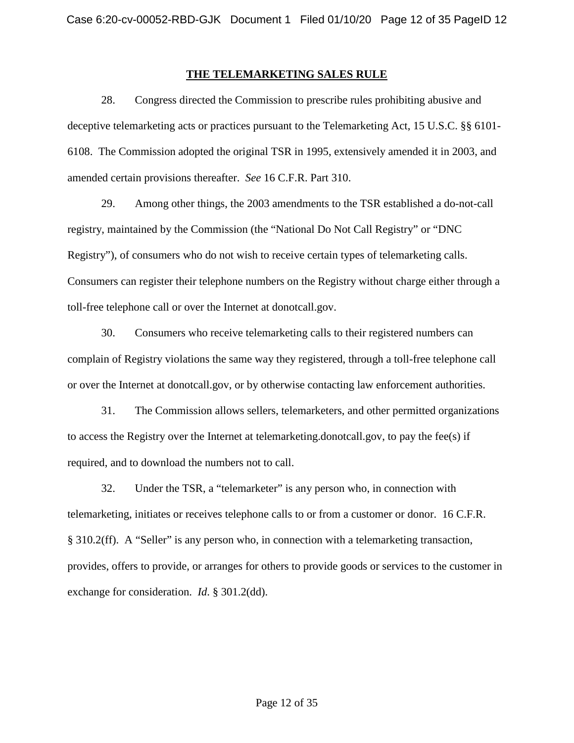### **THE TELEMARKETING SALES RULE**

28. Congress directed the Commission to prescribe rules prohibiting abusive and deceptive telemarketing acts or practices pursuant to the Telemarketing Act, 15 U.S.C. §§ 6101- 6108. The Commission adopted the original TSR in 1995, extensively amended it in 2003, and amended certain provisions thereafter. *See* 16 C.F.R. Part 310.

29. Among other things, the 2003 amendments to the TSR established a do-not-call registry, maintained by the Commission (the "National Do Not Call Registry" or "DNC Registry"), of consumers who do not wish to receive certain types of telemarketing calls. Consumers can register their telephone numbers on the Registry without charge either through a toll-free telephone call or over the Internet at donotcall.gov.

 or over the Internet at donotcall.gov, or by otherwise contacting law enforcement authorities. 30. Consumers who receive telemarketing calls to their registered numbers can complain of Registry violations the same way they registered, through a toll-free telephone call

31. The Commission allows sellers, telemarketers, and other permitted organizations to access the Registry over the Internet at telemarketing.donotcall.gov, to pay the fee(s) if required, and to download the numbers not to call.

§ 310.2(ff). A "Seller" is any person who, in connection with a telemarketing transaction, provides, offers to provide, or arranges for others to provide goods or services to the customer in 32. Under the TSR, a "telemarketer" is any person who, in connection with telemarketing, initiates or receives telephone calls to or from a customer or donor. 16 C.F.R. exchange for consideration. *Id*. § 301.2(dd).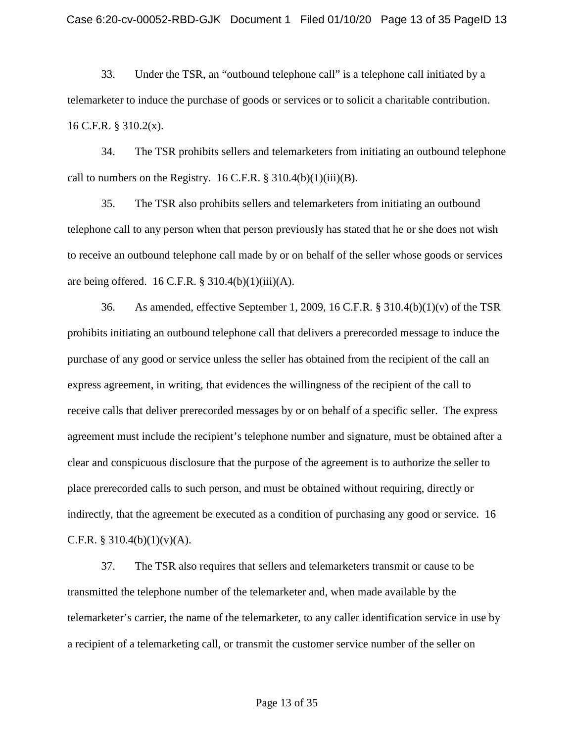33. Under the TSR, an "outbound telephone call" is a telephone call initiated by a telemarketer to induce the purchase of goods or services or to solicit a charitable contribution.<br>16 C.F.R. § 310.2(x).

 34. The TSR prohibits sellers and telemarketers from initiating an outbound telephone call to numbers on the Registry. 16 C.F.R.  $\S 310.4(b)(1)(iii)(B)$ .

35. The TSR also prohibits sellers and telemarketers from initiating an outbound telephone call to any person when that person previously has stated that he or she does not wish to receive an outbound telephone call made by or on behalf of the seller whose goods or services are being offered.  $16$  C.F.R. § 310.4(b)(1)(iii)(A).

 purchase of any good or service unless the seller has obtained from the recipient of the call an indirectly, that the agreement be executed as a condition of purchasing any good or service. 16 36. As amended, effective September 1, 2009, 16 C.F.R. § 310.4(b)(1)(v) of the TSR prohibits initiating an outbound telephone call that delivers a prerecorded message to induce the express agreement, in writing, that evidences the willingness of the recipient of the call to receive calls that deliver prerecorded messages by or on behalf of a specific seller. The express agreement must include the recipient's telephone number and signature, must be obtained after a clear and conspicuous disclosure that the purpose of the agreement is to authorize the seller to place prerecorded calls to such person, and must be obtained without requiring, directly or C.F.R. § 310.4(b)(1)(v)(A).

37. The TSR also requires that sellers and telemarketers transmit or cause to be transmitted the telephone number of the telemarketer and, when made available by the telemarketer's carrier, the name of the telemarketer, to any caller identification service in use by a recipient of a telemarketing call, or transmit the customer service number of the seller on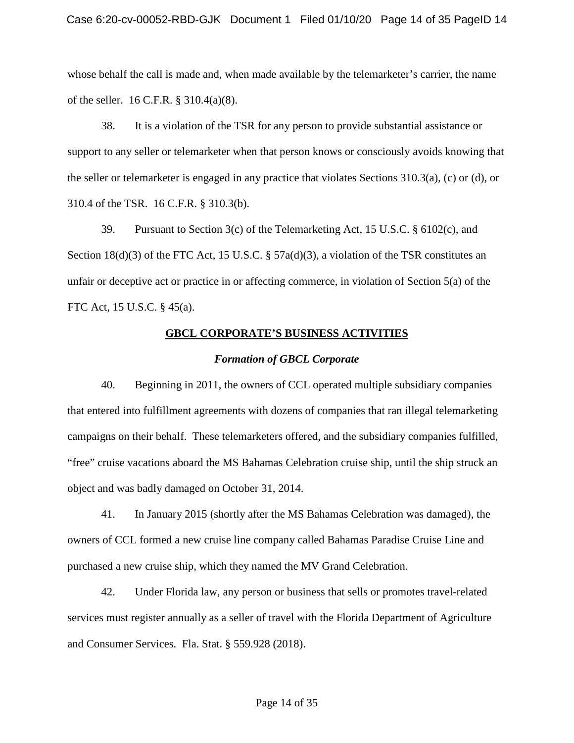whose behalf the call is made and, when made available by the telemarketer's carrier, the name of the seller. 16 C.F.R. § 310.4(a)(8).

It is a violation of the TSR for any person to provide substantial assistance or 38. It is a violation of the TSR for any person to provide substantial assistance or support to any seller or telemarketer when that person knows or consciously avoids knowing that the seller or telemarketer is engaged in any practice that violates Sections 310.3(a), (c) or (d), or 310.4 of the TSR. 16 C.F.R. § 310.3(b).

 FTC Act, 15 U.S.C. § 45(a). 39. Pursuant to Section 3(c) of the Telemarketing Act, 15 U.S.C. § 6102(c), and Section  $18(d)(3)$  of the FTC Act, 15 U.S.C. § 57a(d)(3), a violation of the TSR constitutes an unfair or deceptive act or practice in or affecting commerce, in violation of Section 5(a) of the

### **GBCL CORPORATE'S BUSINESS ACTIVITIES**

### *Formation of GBCL Corporate*

 40. Beginning in 2011, the owners of CCL operated multiple subsidiary companies that entered into fulfillment agreements with dozens of companies that ran illegal telemarketing campaigns on their behalf. These telemarketers offered, and the subsidiary companies fulfilled, object and was badly damaged on October 31, 2014. "free" cruise vacations aboard the MS Bahamas Celebration cruise ship, until the ship struck an

 41. In January 2015 (shortly after the MS Bahamas Celebration was damaged), the owners of CCL formed a new cruise line company called Bahamas Paradise Cruise Line and purchased a new cruise ship, which they named the MV Grand Celebration.

 services must register annually as a seller of travel with the Florida Department of Agriculture 42. Under Florida law, any person or business that sells or promotes travel-related and Consumer Services. Fla. Stat. § 559.928 (2018).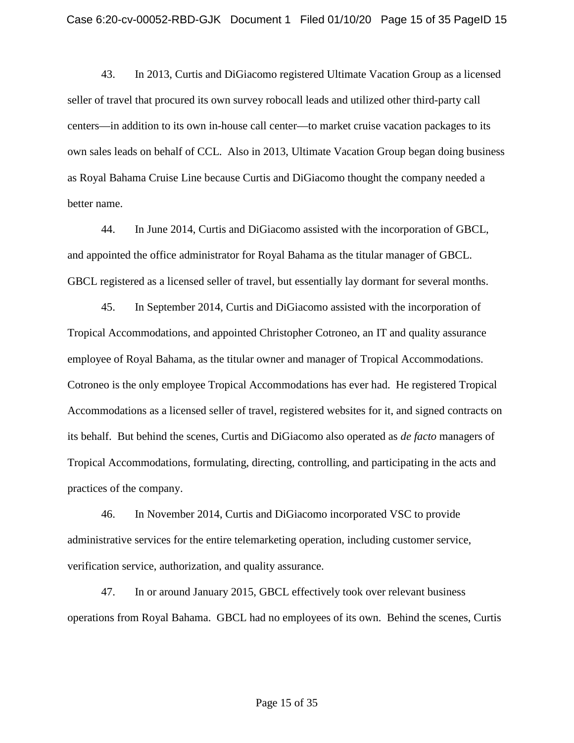seller of travel that procured its own survey robocall leads and utilized other third-party call centers—in addition to its own in-house call center—to market cruise vacation packages to its own sales leads on behalf of CCL. Also in 2013, Ultimate Vacation Group began doing business 43. In 2013, Curtis and DiGiacomo registered Ultimate Vacation Group as a licensed as Royal Bahama Cruise Line because Curtis and DiGiacomo thought the company needed a better name.

GBCL registered as a licensed seller of travel, but essentially lay dormant for several months.<br>45. In September 2014, Curtis and DiGiacomo assisted with the incorporation of 44. In June 2014, Curtis and DiGiacomo assisted with the incorporation of GBCL, and appointed the office administrator for Royal Bahama as the titular manager of GBCL.

 its behalf. But behind the scenes, Curtis and DiGiacomo also operated as *de facto* managers of practices of the company. Tropical Accommodations, and appointed Christopher Cotroneo, an IT and quality assurance employee of Royal Bahama, as the titular owner and manager of Tropical Accommodations. Cotroneo is the only employee Tropical Accommodations has ever had. He registered Tropical Accommodations as a licensed seller of travel, registered websites for it, and signed contracts on Tropical Accommodations, formulating, directing, controlling, and participating in the acts and

practices of the company.<br>46. In November 2014, Curtis and DiGiacomo incorporated VSC to provide administrative services for the entire telemarketing operation, including customer service, verification service, authorization, and quality assurance.

 operations from Royal Bahama. GBCL had no employees of its own. Behind the scenes, Curtis 47. In or around January 2015, GBCL effectively took over relevant business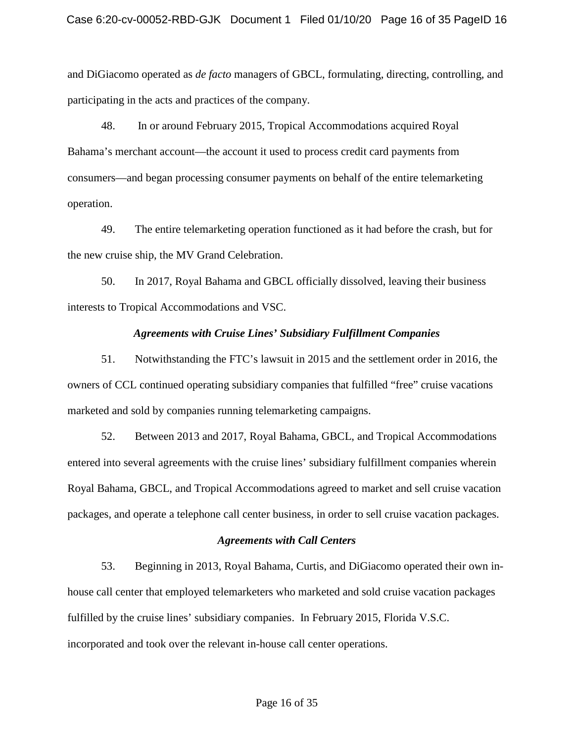and DiGiacomo operated as *de facto* managers of GBCL, formulating, directing, controlling, and participating in the acts and practices of the company.

operation. 48. In or around February 2015, Tropical Accommodations acquired Royal Bahama's merchant account—the account it used to process credit card payments from consumers—and began processing consumer payments on behalf of the entire telemarketing

49. The entire telemarketing operation functioned as it had before the crash, but for the new cruise ship, the MV Grand Celebration.

50. In 2017, Royal Bahama and GBCL officially dissolved, leaving their business interests to Tropical Accommodations and VSC.

#### *Agreements with Cruise Lines' Subsidiary Fulfillment Companies*

 owners of CCL continued operating subsidiary companies that fulfilled "free" cruise vacations 51. Notwithstanding the FTC's lawsuit in 2015 and the settlement order in 2016, the marketed and sold by companies running telemarketing campaigns.

 entered into several agreements with the cruise lines' subsidiary fulfillment companies wherein packages, and operate a telephone call center business, in order to sell cruise vacation packages. 52. Between 2013 and 2017, Royal Bahama, GBCL, and Tropical Accommodations Royal Bahama, GBCL, and Tropical Accommodations agreed to market and sell cruise vacation

#### *Agreements with Call Centers*

 house call center that employed telemarketers who marketed and sold cruise vacation packages fulfilled by the cruise lines' subsidiary companies. In February 2015, Florida V.S.C. 53. Beginning in 2013, Royal Bahama, Curtis, and DiGiacomo operated their own inincorporated and took over the relevant in-house call center operations.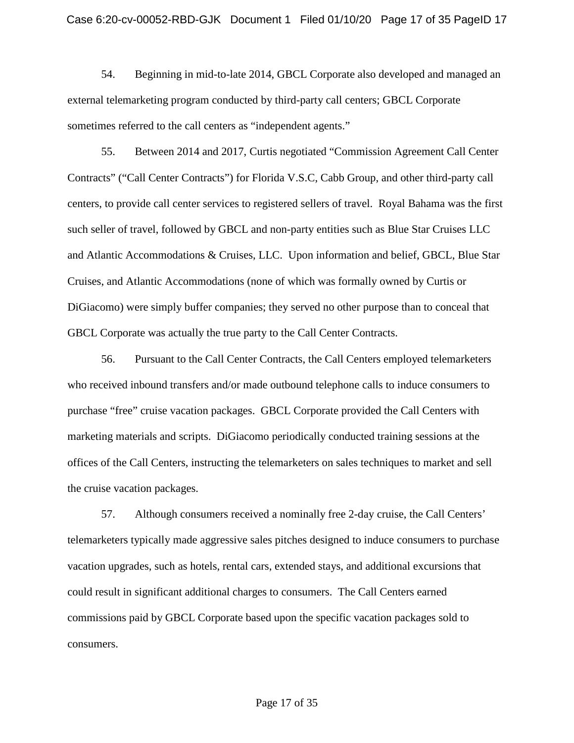sometimes referred to the call centers as "independent agents." 54. Beginning in mid-to-late 2014, GBCL Corporate also developed and managed an external telemarketing program conducted by third-party call centers; GBCL Corporate

 centers, to provide call center services to registered sellers of travel. Royal Bahama was the first such seller of travel, followed by GBCL and non-party entities such as Blue Star Cruises LLC and Atlantic Accommodations & Cruises, LLC. Upon information and belief, GBCL, Blue Star Cruises, and Atlantic Accommodations (none of which was formally owned by Curtis or DiGiacomo) were simply buffer companies; they served no other purpose than to conceal that 55. Between 2014 and 2017, Curtis negotiated "Commission Agreement Call Center" Contracts" ("Call Center Contracts") for Florida V.S.C, Cabb Group, and other third-party call GBCL Corporate was actually the true party to the Call Center Contracts.

 who received inbound transfers and/or made outbound telephone calls to induce consumers to purchase "free" cruise vacation packages. GBCL Corporate provided the Call Centers with the cruise vacation packages. 56. Pursuant to the Call Center Contracts, the Call Centers employed telemarketers marketing materials and scripts. DiGiacomo periodically conducted training sessions at the offices of the Call Centers, instructing the telemarketers on sales techniques to market and sell

 the cruise vacation packages. 57. Although consumers received a nominally free 2-day cruise, the Call Centers' could result in significant additional charges to consumers. The Call Centers earned telemarketers typically made aggressive sales pitches designed to induce consumers to purchase vacation upgrades, such as hotels, rental cars, extended stays, and additional excursions that commissions paid by GBCL Corporate based upon the specific vacation packages sold to consumers.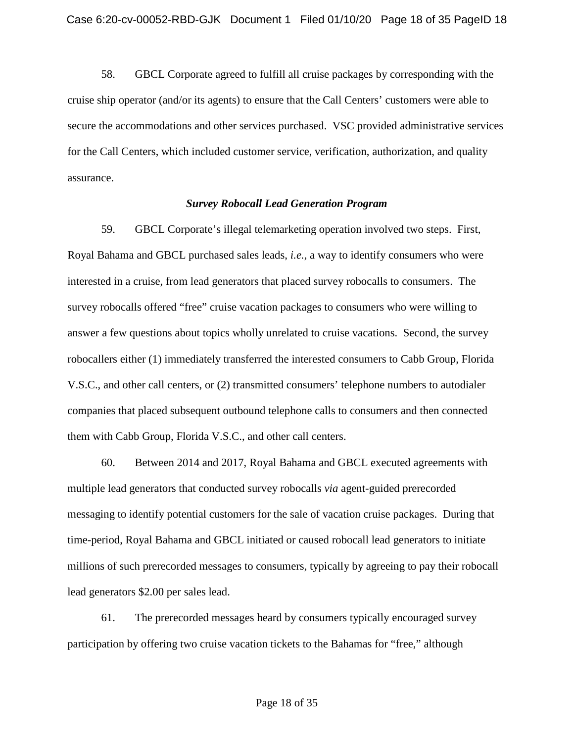58. GBCL Corporate agreed to fulfill all cruise packages by corresponding with the cruise ship operator (and/or its agents) to ensure that the Call Centers' customers were able to secure the accommodations and other services purchased. VSC provided administrative services for the Call Centers, which included customer service, verification, authorization, and quality assurance.

#### *Survey Robocall Lead Generation Program*

 interested in a cruise, from lead generators that placed survey robocalls to consumers. The robocallers either (1) immediately transferred the interested consumers to Cabb Group, Florida V.S.C., and other call centers, or (2) transmitted consumers' telephone numbers to autodialer companies that placed subsequent outbound telephone calls to consumers and then connected them with Cabb Group, Florida V.S.C., and other call centers. 59. GBCL Corporate's illegal telemarketing operation involved two steps. First, Royal Bahama and GBCL purchased sales leads, *i.e.*, a way to identify consumers who were survey robocalls offered "free" cruise vacation packages to consumers who were willing to answer a few questions about topics wholly unrelated to cruise vacations. Second, the survey

 60. Between 2014 and 2017, Royal Bahama and GBCL executed agreements with multiple lead generators that conducted survey robocalls *via* agent-guided prerecorded messaging to identify potential customers for the sale of vacation cruise packages. During that time-period, Royal Bahama and GBCL initiated or caused robocall lead generators to initiate millions of such prerecorded messages to consumers, typically by agreeing to pay their robocall lead generators \$2.00 per sales lead.

61. The prerecorded messages heard by consumers typically encouraged survey participation by offering two cruise vacation tickets to the Bahamas for "free," although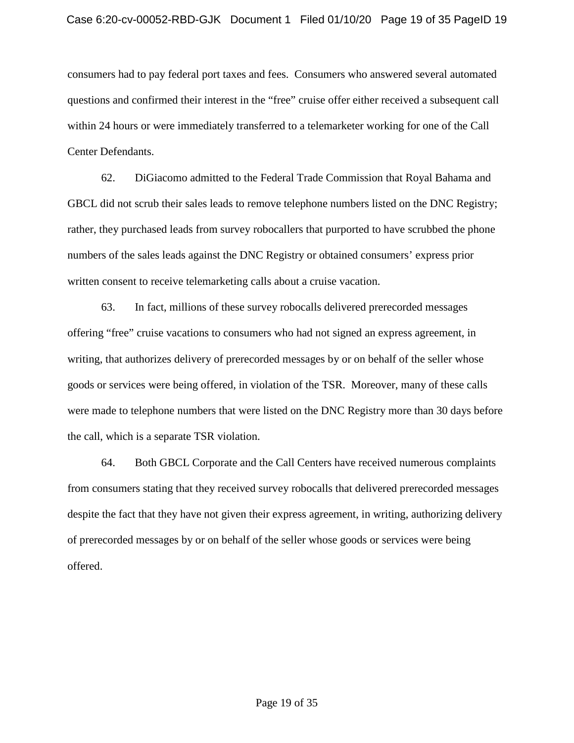questions and confirmed their interest in the "free" cruise offer either received a subsequent call Center Defendants. consumers had to pay federal port taxes and fees. Consumers who answered several automated within 24 hours or were immediately transferred to a telemarketer working for one of the Call

 62. DiGiacomo admitted to the Federal Trade Commission that Royal Bahama and GBCL did not scrub their sales leads to remove telephone numbers listed on the DNC Registry; rather, they purchased leads from survey robocallers that purported to have scrubbed the phone numbers of the sales leads against the DNC Registry or obtained consumers' express prior written consent to receive telemarketing calls about a cruise vacation.

 goods or services were being offered, in violation of the TSR. Moreover, many of these calls 63. In fact, millions of these survey robocalls delivered prerecorded messages offering "free" cruise vacations to consumers who had not signed an express agreement, in writing, that authorizes delivery of prerecorded messages by or on behalf of the seller whose were made to telephone numbers that were listed on the DNC Registry more than 30 days before the call, which is a separate TSR violation.

 from consumers stating that they received survey robocalls that delivered prerecorded messages despite the fact that they have not given their express agreement, in writing, authorizing delivery 64. Both GBCL Corporate and the Call Centers have received numerous complaints of prerecorded messages by or on behalf of the seller whose goods or services were being offered.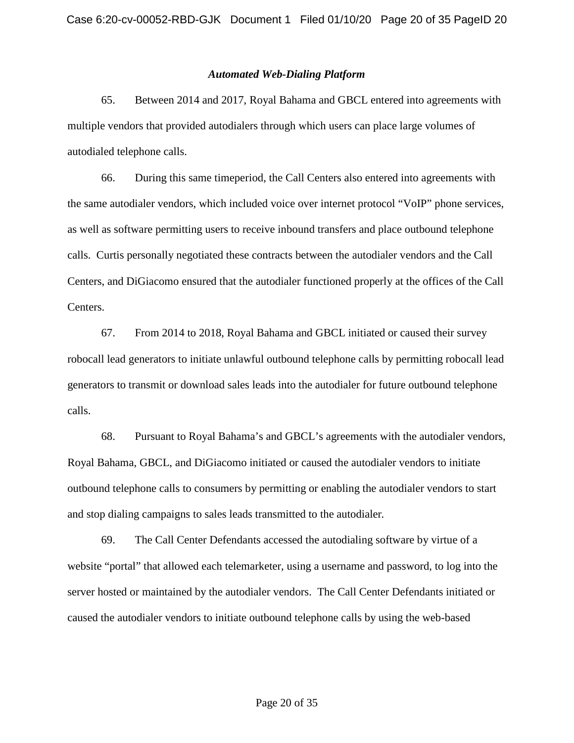#### *Automated Web-Dialing Platform*

 65. Between 2014 and 2017, Royal Bahama and GBCL entered into agreements with multiple vendors that provided autodialers through which users can place large volumes of autodialed telephone calls.

 as well as software permitting users to receive inbound transfers and place outbound telephone calls. Curtis personally negotiated these contracts between the autodialer vendors and the Call 66. During this same timeperiod, the Call Centers also entered into agreements with the same autodialer vendors, which included voice over internet protocol "VoIP" phone services, Centers, and DiGiacomo ensured that the autodialer functioned properly at the offices of the Call Centers.

 67. From 2014 to 2018, Royal Bahama and GBCL initiated or caused their survey robocall lead generators to initiate unlawful outbound telephone calls by permitting robocall lead generators to transmit or download sales leads into the autodialer for future outbound telephone calls. calls. 68. Pursuant to Royal Bahama's and GBCL's agreements with the autodialer vendors,

 Royal Bahama, GBCL, and DiGiacomo initiated or caused the autodialer vendors to initiate outbound telephone calls to consumers by permitting or enabling the autodialer vendors to start and stop dialing campaigns to sales leads transmitted to the autodialer*.* 

 website "portal" that allowed each telemarketer, using a username and password, to log into the 69. The Call Center Defendants accessed the autodialing software by virtue of a server hosted or maintained by the autodialer vendors. The Call Center Defendants initiated or caused the autodialer vendors to initiate outbound telephone calls by using the web-based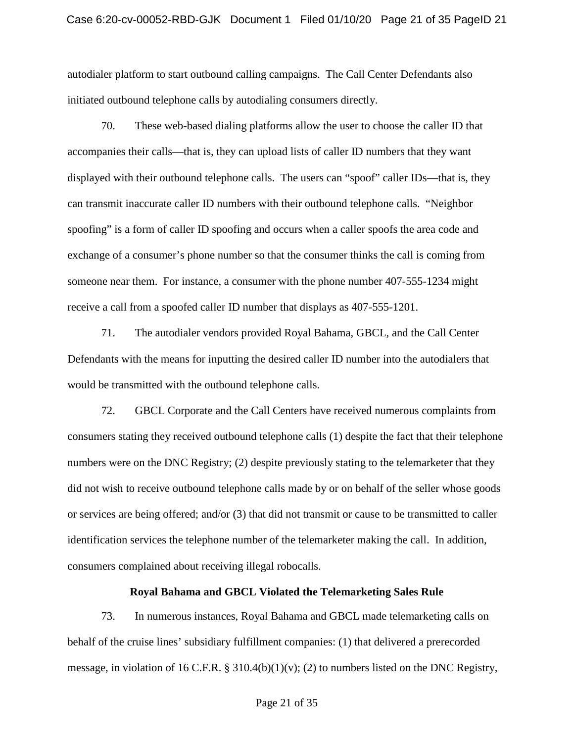initiated outbound telephone calls by autodialing consumers directly. autodialer platform to start outbound calling campaigns. The Call Center Defendants also

 70. These web-based dialing platforms allow the user to choose the caller ID that accompanies their calls—that is, they can upload lists of caller ID numbers that they want displayed with their outbound telephone calls. The users can "spoof" caller IDs—that is, they can transmit inaccurate caller ID numbers with their outbound telephone calls. "Neighbor spoofing" is a form of caller ID spoofing and occurs when a caller spoofs the area code and someone near them. For instance, a consumer with the phone number 407-555-1234 might exchange of a consumer's phone number so that the consumer thinks the call is coming from receive a call from a spoofed caller ID number that displays as 407-555-1201.

71. The autodialer vendors provided Royal Bahama, GBCL, and the Call Center Defendants with the means for inputting the desired caller ID number into the autodialers that would be transmitted with the outbound telephone calls.

 72. GBCL Corporate and the Call Centers have received numerous complaints from consumers stating they received outbound telephone calls (1) despite the fact that their telephone did not wish to receive outbound telephone calls made by or on behalf of the seller whose goods identification services the telephone number of the telemarketer making the call. In addition, numbers were on the DNC Registry; (2) despite previously stating to the telemarketer that they or services are being offered; and/or (3) that did not transmit or cause to be transmitted to caller consumers complained about receiving illegal robocalls.

#### **Royal Bahama and GBCL Violated the Telemarketing Sales Rule**

 message, in violation of 16 C.F.R. § 310.4(b)(1)(v); (2) to numbers listed on the DNC Registry, 73. In numerous instances, Royal Bahama and GBCL made telemarketing calls on behalf of the cruise lines' subsidiary fulfillment companies: (1) that delivered a prerecorded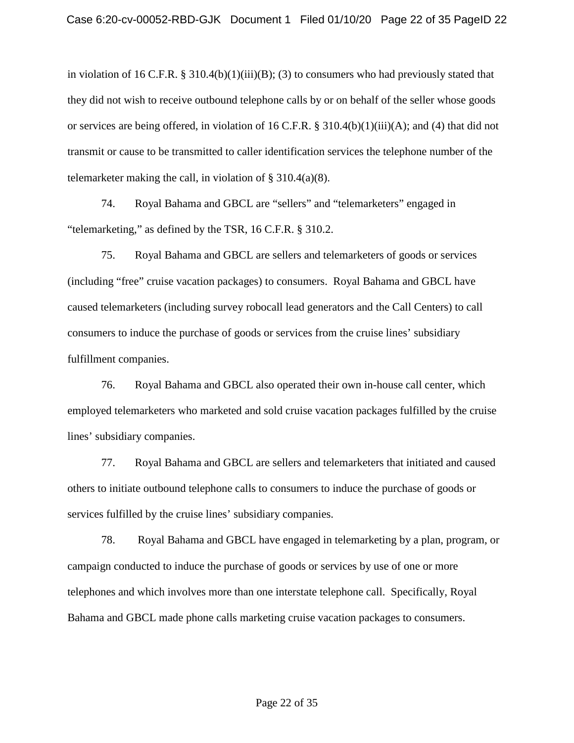in violation of 16 C.F.R. § 310.4(b)(1)(iii)(B); (3) to consumers who had previously stated that they did not wish to receive outbound telephone calls by or on behalf of the seller whose goods or services are being offered, in violation of 16 C.F.R. § 310.4(b)(1)(iii)(A); and (4) that did not transmit or cause to be transmitted to caller identification services the telephone number of the telemarketer making the call, in violation of  $\S$  310.4(a)(8).

 "telemarketing," as defined by the TSR, 16 C.F.R. § 310.2. 74. Royal Bahama and GBCL are "sellers" and "telemarketers" engaged in

 75. Royal Bahama and GBCL are sellers and telemarketers of goods or services consumers to induce the purchase of goods or services from the cruise lines' subsidiary (including "free" cruise vacation packages) to consumers. Royal Bahama and GBCL have caused telemarketers (including survey robocall lead generators and the Call Centers) to call fulfillment companies.

76. Royal Bahama and GBCL also operated their own in-house call center, which employed telemarketers who marketed and sold cruise vacation packages fulfilled by the cruise lines' subsidiary companies.

 others to initiate outbound telephone calls to consumers to induce the purchase of goods or 77. Royal Bahama and GBCL are sellers and telemarketers that initiated and caused services fulfilled by the cruise lines' subsidiary companies.

 campaign conducted to induce the purchase of goods or services by use of one or more 78. Royal Bahama and GBCL have engaged in telemarketing by a plan, program, or telephones and which involves more than one interstate telephone call. Specifically, Royal Bahama and GBCL made phone calls marketing cruise vacation packages to consumers.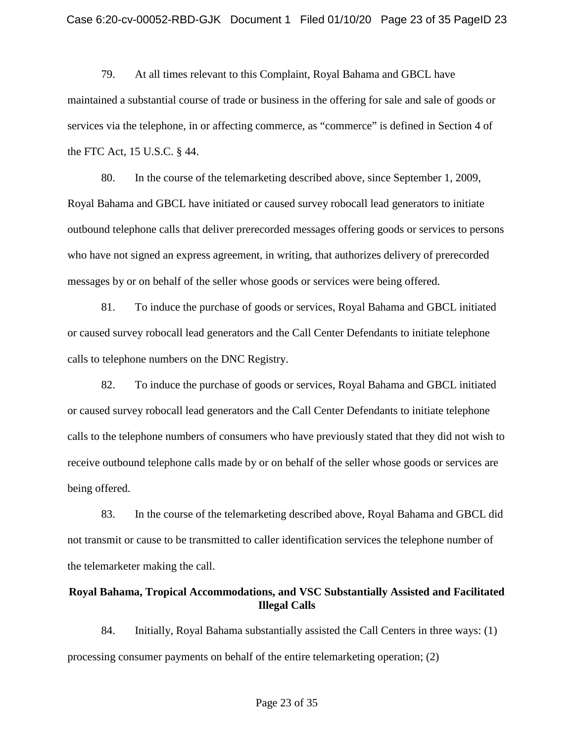maintained a substantial course of trade or business in the offering for sale and sale of goods or the FTC Act, 15 U.S.C. § 44. 79. At all times relevant to this Complaint, Royal Bahama and GBCL have services via the telephone, in or affecting commerce, as "commerce" is defined in Section 4 of

 80. In the course of the telemarketing described above, since September 1, 2009, outbound telephone calls that deliver prerecorded messages offering goods or services to persons messages by or on behalf of the seller whose goods or services were being offered. Royal Bahama and GBCL have initiated or caused survey robocall lead generators to initiate who have not signed an express agreement, in writing, that authorizes delivery of prerecorded

 calls to telephone numbers on the DNC Registry. 81. To induce the purchase of goods or services, Royal Bahama and GBCL initiated or caused survey robocall lead generators and the Call Center Defendants to initiate telephone

 or caused survey robocall lead generators and the Call Center Defendants to initiate telephone receive outbound telephone calls made by or on behalf of the seller whose goods or services are 82. To induce the purchase of goods or services, Royal Bahama and GBCL initiated calls to the telephone numbers of consumers who have previously stated that they did not wish to being offered.

 83. In the course of the telemarketing described above, Royal Bahama and GBCL did not transmit or cause to be transmitted to caller identification services the telephone number of the telemarketer making the call.

### **Royal Bahama, Tropical Accommodations, and VSC Substantially Assisted and Facilitated Illegal Calls**

84. Initially, Royal Bahama substantially assisted the Call Centers in three ways: (1) processing consumer payments on behalf of the entire telemarketing operation; (2)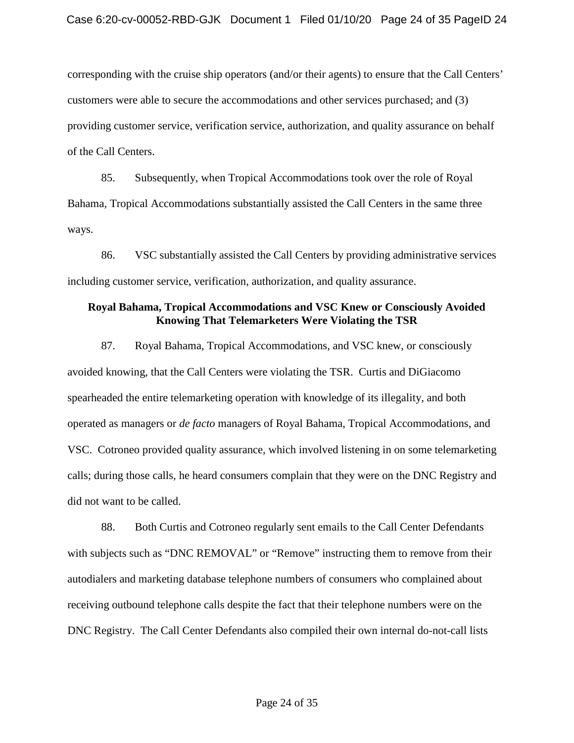corresponding with the cruise ship operators (and/or their agents) to ensure that the Call Centers' providing customer service, verification service, authorization, and quality assurance on behalf customers were able to secure the accommodations and other services purchased; and (3) of the Call Centers.

85. Subsequently, when Tropical Accommodations took over the role of Royal Bahama, Tropical Accommodations substantially assisted the Call Centers in the same three ways.

86. VSC substantially assisted the Call Centers by providing administrative services including customer service, verification, authorization, and quality assurance.

### **Royal Bahama, Tropical Accommodations and VSC Knew or Consciously Avoided Knowing That Telemarketers Were Violating the TSR**

 87. Royal Bahama, Tropical Accommodations, and VSC knew, or consciously operated as managers or *de facto* managers of Royal Bahama, Tropical Accommodations, and VSC. Cotroneo provided quality assurance, which involved listening in on some telemarketing avoided knowing, that the Call Centers were violating the TSR. Curtis and DiGiacomo spearheaded the entire telemarketing operation with knowledge of its illegality, and both calls; during those calls, he heard consumers complain that they were on the DNC Registry and did not want to be called.

 autodialers and marketing database telephone numbers of consumers who complained about DNC Registry. The Call Center Defendants also compiled their own internal do-not-call lists 88. Both Curtis and Cotroneo regularly sent emails to the Call Center Defendants with subjects such as "DNC REMOVAL" or "Remove" instructing them to remove from their receiving outbound telephone calls despite the fact that their telephone numbers were on the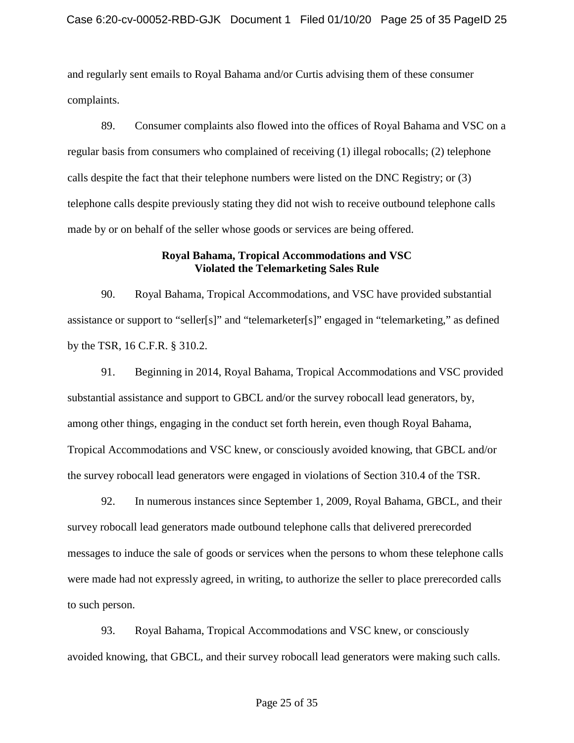and regularly sent emails to Royal Bahama and/or Curtis advising them of these consumer complaints.

 regular basis from consumers who complained of receiving (1) illegal robocalls; (2) telephone telephone calls despite previously stating they did not wish to receive outbound telephone calls made by or on behalf of the seller whose goods or services are being offered. 89. Consumer complaints also flowed into the offices of Royal Bahama and VSC on a calls despite the fact that their telephone numbers were listed on the DNC Registry; or (3)

# **Royal Bahama, Tropical Accommodations and VSC Violated the Telemarketing Sales Rule**

 90. Royal Bahama, Tropical Accommodations, and VSC have provided substantial assistance or support to "seller[s]" and "telemarketer[s]" engaged in "telemarketing," as defined by the TSR, 16 C.F.R. § 310.2.

91. Beginning in 2014, Royal Bahama, Tropical Accommodations and VSC provided substantial assistance and support to GBCL and/or the survey robocall lead generators, by, among other things, engaging in the conduct set forth herein, even though Royal Bahama, Tropical Accommodations and VSC knew, or consciously avoided knowing, that GBCL and/or the survey robocall lead generators were engaged in violations of Section 310.4 of the TSR.

92. In numerous instances since September 1, 2009, Royal Bahama, GBCL, and their survey robocall lead generators made outbound telephone calls that delivered prerecorded messages to induce the sale of goods or services when the persons to whom these telephone calls were made had not expressly agreed, in writing, to authorize the seller to place prerecorded calls to such person.

93. Royal Bahama, Tropical Accommodations and VSC knew, or consciously avoided knowing, that GBCL, and their survey robocall lead generators were making such calls.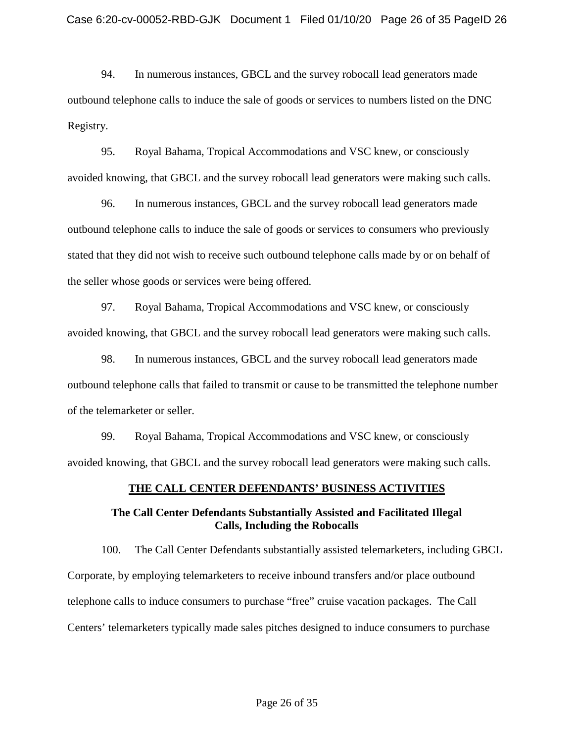94. In numerous instances, GBCL and the survey robocall lead generators made outbound telephone calls to induce the sale of goods or services to numbers listed on the DNC Registry.

 avoided knowing, that GBCL and the survey robocall lead generators were making such calls. 95. Royal Bahama, Tropical Accommodations and VSC knew, or consciously

96. In numerous instances, GBCL and the survey robocall lead generators made outbound telephone calls to induce the sale of goods or services to consumers who previously stated that they did not wish to receive such outbound telephone calls made by or on behalf of the seller whose goods or services were being offered.

 avoided knowing, that GBCL and the survey robocall lead generators were making such calls. 97. Royal Bahama, Tropical Accommodations and VSC knew, or consciously

98. In numerous instances, GBCL and the survey robocall lead generators made outbound telephone calls that failed to transmit or cause to be transmitted the telephone number of the telemarketer or seller.

 avoided knowing, that GBCL and the survey robocall lead generators were making such calls. 99. Royal Bahama, Tropical Accommodations and VSC knew, or consciously

# **THE CALL CENTER DEFENDANTS' BUSINESS ACTIVITIES**

# **The Call Center Defendants Substantially Assisted and Facilitated Illegal Calls, Including the Robocalls**

100. The Call Center Defendants substantially assisted telemarketers, including GBCL Corporate, by employing telemarketers to receive inbound transfers and/or place outbound telephone calls to induce consumers to purchase "free" cruise vacation packages. The Call Centers' telemarketers typically made sales pitches designed to induce consumers to purchase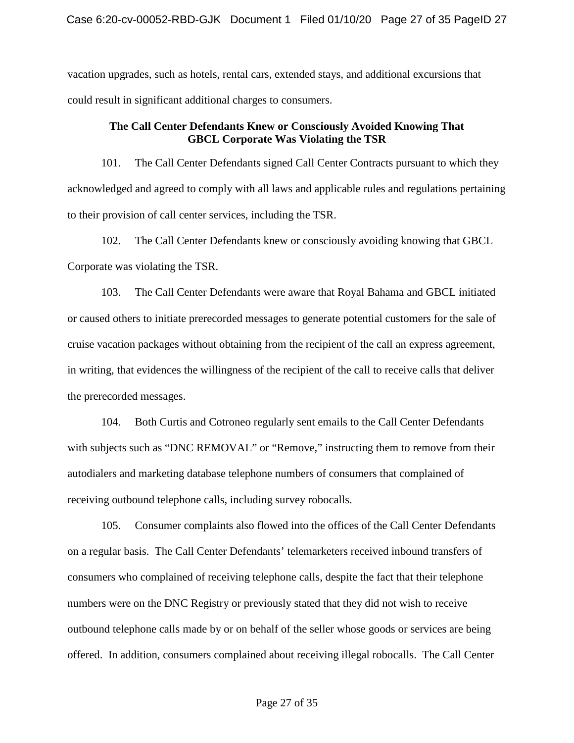vacation upgrades, such as hotels, rental cars, extended stays, and additional excursions that could result in significant additional charges to consumers.

### **The Call Center Defendants Knew or Consciously Avoided Knowing That GBCL Corporate Was Violating the TSR**

101. The Call Center Defendants signed Call Center Contracts pursuant to which they acknowledged and agreed to comply with all laws and applicable rules and regulations pertaining to their provision of call center services, including the TSR.

 102. The Call Center Defendants knew or consciously avoiding knowing that GBCL Corporate was violating the TSR.

 or caused others to initiate prerecorded messages to generate potential customers for the sale of cruise vacation packages without obtaining from the recipient of the call an express agreement, 103. The Call Center Defendants were aware that Royal Bahama and GBCL initiated in writing, that evidences the willingness of the recipient of the call to receive calls that deliver the prerecorded messages.

 receiving outbound telephone calls, including survey robocalls. 104. Both Curtis and Cotroneo regularly sent emails to the Call Center Defendants with subjects such as "DNC REMOVAL" or "Remove," instructing them to remove from their autodialers and marketing database telephone numbers of consumers that complained of

 on a regular basis. The Call Center Defendants' telemarketers received inbound transfers of consumers who complained of receiving telephone calls, despite the fact that their telephone 105. Consumer complaints also flowed into the offices of the Call Center Defendants numbers were on the DNC Registry or previously stated that they did not wish to receive outbound telephone calls made by or on behalf of the seller whose goods or services are being offered. In addition, consumers complained about receiving illegal robocalls. The Call Center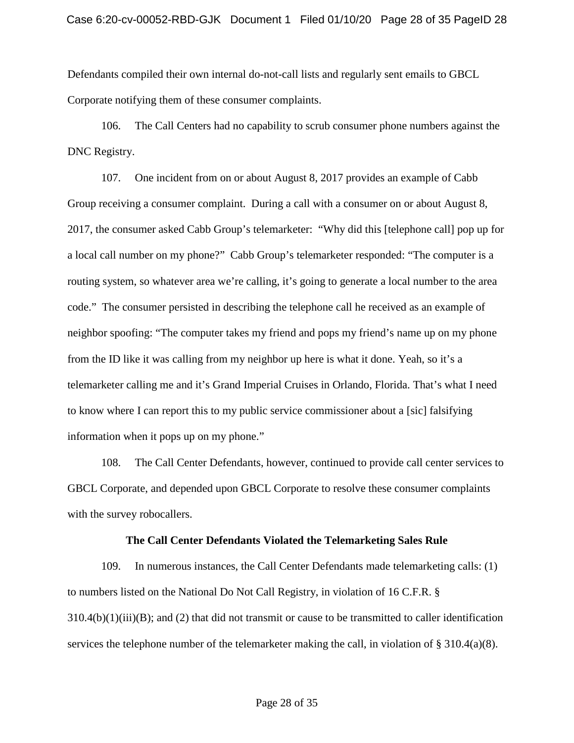Defendants compiled their own internal do-not-call lists and regularly sent emails to GBCL Corporate notifying them of these consumer complaints.

106. The Call Centers had no capability to scrub consumer phone numbers against the DNC Registry.

 107. One incident from on or about August 8, 2017 provides an example of Cabb Group receiving a consumer complaint. During a call with a consumer on or about August 8, 2017, the consumer asked Cabb Group's telemarketer: "Why did this [telephone call] pop up for routing system, so whatever area we're calling, it's going to generate a local number to the area neighbor spoofing: "The computer takes my friend and pops my friend's name up on my phone a local call number on my phone?" Cabb Group's telemarketer responded: "The computer is a code." The consumer persisted in describing the telephone call he received as an example of from the ID like it was calling from my neighbor up here is what it done. Yeah, so it's a telemarketer calling me and it's Grand Imperial Cruises in Orlando, Florida. That's what I need to know where I can report this to my public service commissioner about a [sic] falsifying information when it pops up on my phone."

108. The Call Center Defendants, however, continued to provide call center services to GBCL Corporate, and depended upon GBCL Corporate to resolve these consumer complaints with the survey robocallers.

### **The Call Center Defendants Violated the Telemarketing Sales Rule**

services the telephone number of the telemarketer making the call, in violation of § 310.4(a)(8). 109. In numerous instances, the Call Center Defendants made telemarketing calls: (1) to numbers listed on the National Do Not Call Registry, in violation of 16 C.F.R. §  $310.4(b)(1)(iii)(B)$ ; and (2) that did not transmit or cause to be transmitted to caller identification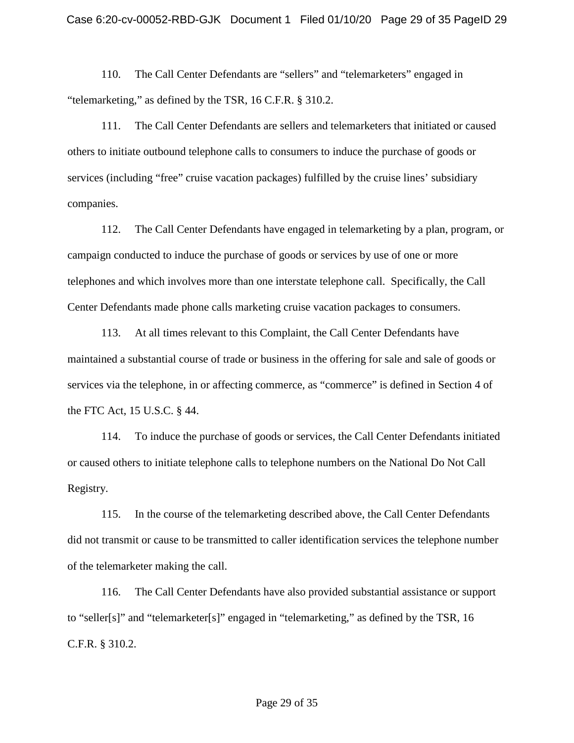110. The Call Center Defendants are "sellers" and "telemarketers" engaged in "telemarketing," as defined by the TSR, 16 C.F.R. § 310.2.

111. The Call Center Defendants are sellers and telemarketers that initiated or caused others to initiate outbound telephone calls to consumers to induce the purchase of goods or services (including "free" cruise vacation packages) fulfilled by the cruise lines' subsidiary companies.

 campaign conducted to induce the purchase of goods or services by use of one or more telephones and which involves more than one interstate telephone call. Specifically, the Call 112. The Call Center Defendants have engaged in telemarketing by a plan, program, or Center Defendants made phone calls marketing cruise vacation packages to consumers.

 maintained a substantial course of trade or business in the offering for sale and sale of goods or 113. At all times relevant to this Complaint, the Call Center Defendants have services via the telephone, in or affecting commerce, as "commerce" is defined in Section 4 of the FTC Act, 15 U.S.C. § 44.

114. To induce the purchase of goods or services, the Call Center Defendants initiated or caused others to initiate telephone calls to telephone numbers on the National Do Not Call Registry.

 115. In the course of the telemarketing described above, the Call Center Defendants did not transmit or cause to be transmitted to caller identification services the telephone number of the telemarketer making the call.

 116. The Call Center Defendants have also provided substantial assistance or support C.F.R. § 310.2. to "seller[s]" and "telemarketer[s]" engaged in "telemarketing," as defined by the TSR, 16 C.F.R. § 310.2.<br>Page 29 of 35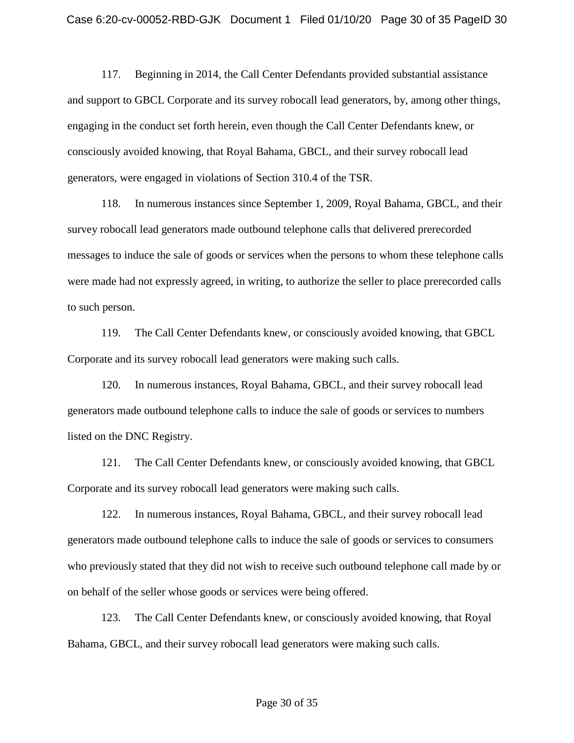consciously avoided knowing, that Royal Bahama, GBCL, and their survey robocall lead generators, were engaged in violations of Section 310.4 of the TSR. 117. Beginning in 2014, the Call Center Defendants provided substantial assistance and support to GBCL Corporate and its survey robocall lead generators, by, among other things, engaging in the conduct set forth herein, even though the Call Center Defendants knew, or

118. In numerous instances since September 1, 2009, Royal Bahama, GBCL, and their survey robocall lead generators made outbound telephone calls that delivered prerecorded messages to induce the sale of goods or services when the persons to whom these telephone calls were made had not expressly agreed, in writing, to authorize the seller to place prerecorded calls to such person.

 Corporate and its survey robocall lead generators were making such calls. 119. The Call Center Defendants knew, or consciously avoided knowing, that GBCL

 listed on the DNC Registry. 120. In numerous instances, Royal Bahama, GBCL, and their survey robocall lead generators made outbound telephone calls to induce the sale of goods or services to numbers

 Corporate and its survey robocall lead generators were making such calls. 121. The Call Center Defendants knew, or consciously avoided knowing, that GBCL

 who previously stated that they did not wish to receive such outbound telephone call made by or 122. In numerous instances, Royal Bahama, GBCL, and their survey robocall lead generators made outbound telephone calls to induce the sale of goods or services to consumers on behalf of the seller whose goods or services were being offered.

123. The Call Center Defendants knew, or consciously avoided knowing, that Royal Bahama, GBCL, and their survey robocall lead generators were making such calls.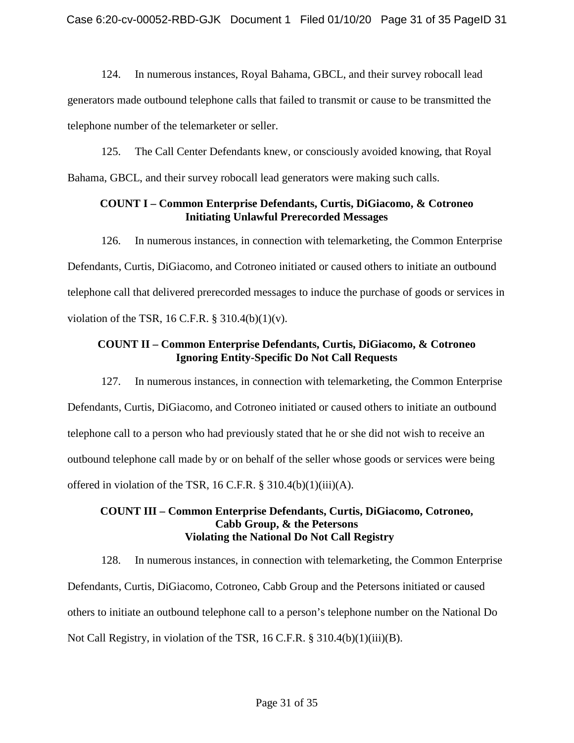124. In numerous instances, Royal Bahama, GBCL, and their survey robocall lead generators made outbound telephone calls that failed to transmit or cause to be transmitted the telephone number of the telemarketer or seller.

125. The Call Center Defendants knew, or consciously avoided knowing, that Royal Bahama, GBCL, and their survey robocall lead generators were making such calls.

### **COUNT I – Common Enterprise Defendants, Curtis, DiGiacomo, & Cotroneo Initiating Unlawful Prerecorded Messages**

In numerous instances, in connection with telemarketing, the Common Enterprise 126. In numerous instances, in connection with telemarketing, the Common Enterprise Defendants, Curtis, DiGiacomo, and Cotroneo initiated or caused others to initiate an outbound telephone call that delivered prerecorded messages to induce the purchase of goods or services in violation of the TSR, 16 C.F.R.  $\S$  310.4(b)(1)(v).

# **Ignoring Entity-Specific Do Not Call Requests COUNT II – Common Enterprise Defendants, Curtis, DiGiacomo, & Cotroneo**

 Defendants, Curtis, DiGiacomo, and Cotroneo initiated or caused others to initiate an outbound outbound telephone call made by or on behalf of the seller whose goods or services were being 127. In numerous instances, in connection with telemarketing, the Common Enterprise telephone call to a person who had previously stated that he or she did not wish to receive an offered in violation of the TSR, 16 C.F.R. § 310.4(b)(1)(iii)(A).

### **COUNT III – Common Enterprise Defendants, Curtis, DiGiacomo, Cotroneo, Cabb Group, & the Petersons Violating the National Do Not Call Registry**

128. In numerous instances, in connection with telemarketing, the Common Enterprise Defendants, Curtis, DiGiacomo, Cotroneo, Cabb Group and the Petersons initiated or caused others to initiate an outbound telephone call to a person's telephone number on the National Do Not Call Registry, in violation of the TSR, 16 C.F.R. § 310.4(b)(1)(iii)(B).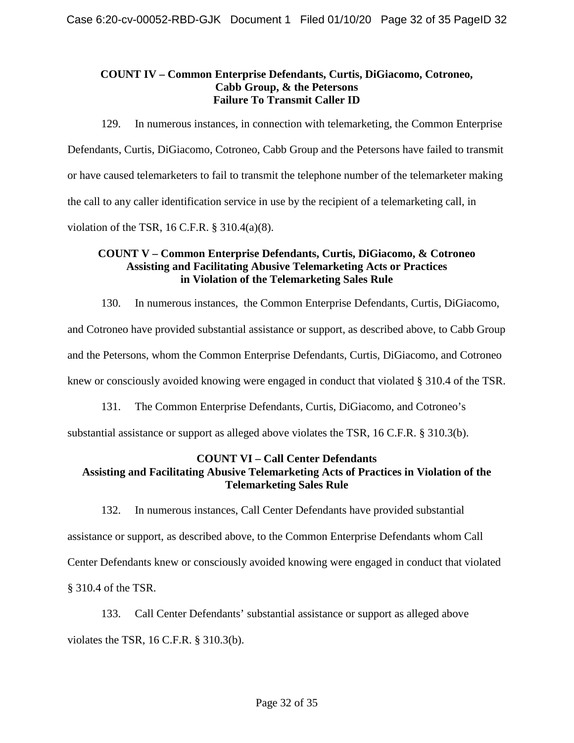# **COUNT IV – Common Enterprise Defendants, Curtis, DiGiacomo, Cotroneo, Cabb Group, & the Petersons Failure To Transmit Caller ID**

129. In numerous instances, in connection with telemarketing, the Common Enterprise Defendants, Curtis, DiGiacomo, Cotroneo, Cabb Group and the Petersons have failed to transmit or have caused telemarketers to fail to transmit the telephone number of the telemarketer making the call to any caller identification service in use by the recipient of a telemarketing call, in violation of the TSR, 16 C.F.R. § 310.4(a)(8).

# **in Violation of the Telemarketing Sales Rule COUNT V – Common Enterprise Defendants, Curtis, DiGiacomo, & Cotroneo Assisting and Facilitating Abusive Telemarketing Acts or Practices**

130. In numerous instances, the Common Enterprise Defendants, Curtis, DiGiacomo,

and Cotroneo have provided substantial assistance or support, as described above, to Cabb Group

and the Petersons, whom the Common Enterprise Defendants, Curtis, DiGiacomo, and Cotroneo

knew or consciously avoided knowing were engaged in conduct that violated § 310.4 of the TSR.

131. The Common Enterprise Defendants, Curtis, DiGiacomo, and Cotroneo's

substantial assistance or support as alleged above violates the TSR, 16 C.F.R. § 310.3(b).

### **COUNT VI – Call Center Defendants Assisting and Facilitating Abusive Telemarketing Acts of Practices in Violation of the Telemarketing Sales Rule**

 Center Defendants knew or consciously avoided knowing were engaged in conduct that violated 132. In numerous instances, Call Center Defendants have provided substantial assistance or support, as described above, to the Common Enterprise Defendants whom Call § 310.4 of the TSR.

 violates the TSR, 16 C.F.R. § 310.3(b). 133. Call Center Defendants' substantial assistance or support as alleged above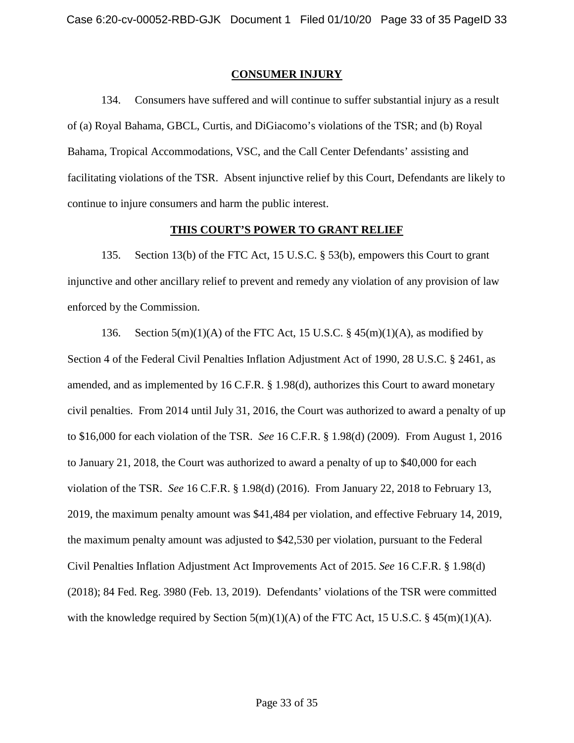### **CONSUMER INJURY**

134. Consumers have suffered and will continue to suffer substantial injury as a result of (a) Royal Bahama, GBCL, Curtis, and DiGiacomo's violations of the TSR; and (b) Royal Bahama, Tropical Accommodations, VSC, and the Call Center Defendants' assisting and facilitating violations of the TSR. Absent injunctive relief by this Court, Defendants are likely to continue to injure consumers and harm the public interest.

### **THIS COURT'S POWER TO GRANT RELIEF**

135. Section 13(b) of the FTC Act, 15 U.S.C. § 53(b), empowers this Court to grant injunctive and other ancillary relief to prevent and remedy any violation of any provision of law enforced by the Commission.

 to \$16,000 for each violation of the TSR. *See* 16 C.F.R. § 1.98(d) (2009). From August 1, 2016 violation of the TSR. *See* 16 C.F.R. § 1.98(d) (2016). From January 22, 2018 to February 13, (2018); 84 Fed. Reg. 3980 (Feb. 13, 2019). Defendants' violations of the TSR were committed with the knowledge required by Section 5(m)(1)(A) of the FTC Act, 15 U.S.C. § 45(m)(1)(A).<br>
Page 33 of 35 136. Section  $5(m)(1)(A)$  of the FTC Act, 15 U.S.C. §  $45(m)(1)(A)$ , as modified by Section 4 of the Federal Civil Penalties Inflation Adjustment Act of 1990, 28 U.S.C. § 2461, as amended, and as implemented by 16 C.F.R. § 1.98(d), authorizes this Court to award monetary civil penalties. From 2014 until July 31, 2016, the Court was authorized to award a penalty of up to January 21, 2018, the Court was authorized to award a penalty of up to \$40,000 for each 2019, the maximum penalty amount was \$41,484 per violation, and effective February 14, 2019, the maximum penalty amount was adjusted to \$42,530 per violation, pursuant to the Federal Civil Penalties Inflation Adjustment Act Improvements Act of 2015. *See* 16 C.F.R. § 1.98(d)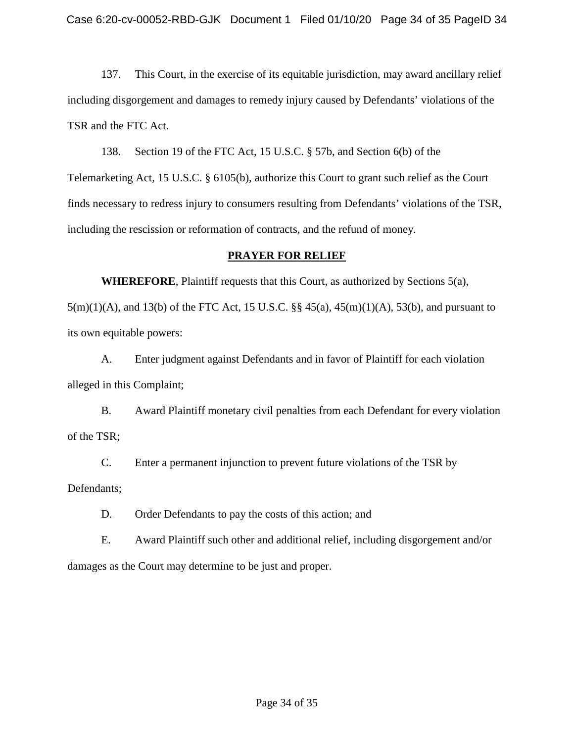TSR and the FTC Act. 137. This Court, in the exercise of its equitable jurisdiction, may award ancillary relief including disgorgement and damages to remedy injury caused by Defendants' violations of the

138. Section 19 of the FTC Act, 15 U.S.C. § 57b, and Section 6(b) of the Telemarketing Act, 15 U.S.C. § 6105(b), authorize this Court to grant such relief as the Court finds necessary to redress injury to consumers resulting from Defendants' violations of the TSR, including the rescission or reformation of contracts, and the refund of money.

# **PRAYER FOR RELIEF**

 **WHEREFORE**, Plaintiff requests that this Court, as authorized by Sections 5(a), 5(m)(1)(A), and 13(b) of the FTC Act, 15 U.S.C. §§ 45(a), 45(m)(1)(A), 53(b), and pursuant to its own equitable powers:

A. Enter judgment against Defendants and in favor of Plaintiff for each violation alleged in this Complaint;

 B. Award Plaintiff monetary civil penalties from each Defendant for every violation of the TSR;

 C. Enter a permanent injunction to prevent future violations of the TSR by Defendants;

D. Order Defendants to pay the costs of this action; and

damages as the Court may determine to be just and proper. E. Award Plaintiff such other and additional relief, including disgorgement and/or damages as the Court may determine to be just and proper.<br>Page 34 of 35